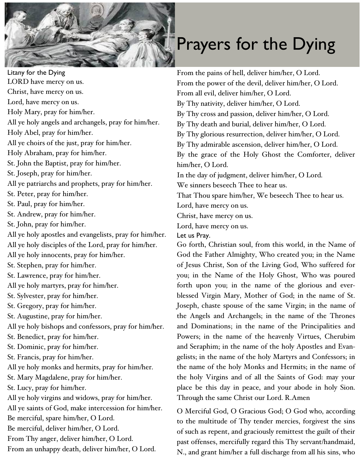

## Prayers for the Dying

Litany for the Dying LORD have mercy on us. Christ, have mercy on us. Lord, have mercy on us. Holy Mary, pray for him/her. All ye holy angels and archangels, pray for him/her. Holy Abel, pray for him/her. All ye choirs of the just, pray for him/her. Holy Abraham, pray for him/her. St. John the Baptist, pray for him/her. St. Joseph, pray for him/her. All ye patriarchs and prophets, pray for him/her. St. Peter, pray for him/her. St. Paul, pray for him/her. St. Andrew, pray for him/her. St. John, pray for him/her. All ye holy apostles and evangelists, pray for him/her. All ye holy disciples of the Lord, pray for him/her. All ye holy innocents, pray for him/her. St. Stephen, pray for him/her. St. Lawrence, pray for him/her. All ye holy martyrs, pray for him/her. St. Sylvester, pray for him/her. St. Gregory, pray for him/her. St. Augustine, pray for him/her. All ye holy bishops and confessors, pray for him/her. St. Benedict, pray for him/her. St. Dominic, pray for him/her. St. Francis, pray for him/her. All ye holy monks and hermits, pray for him/her. St. Mary Magdalene, pray for him/her. St. Lucy, pray for him/her. All ye holy virgins and widows, pray for him/her. All ye saints of God, make intercession for him/her. Be merciful, spare him/her, O Lord. Be merciful, deliver him/her, O Lord. From Thy anger, deliver him/her, O Lord. From an unhappy death, deliver him/her, O Lord.

From the pains of hell, deliver him/her, O Lord. From the power of the devil, deliver him/her, O Lord. From all evil, deliver him/her, O Lord. By Thy nativity, deliver him/her, O Lord. By Thy cross and passion, deliver him/her, O Lord. By Thy death and burial, deliver him/her, O Lord. By Thy glorious resurrection, deliver him/her, O Lord. By Thy admirable ascension, deliver him/her, O Lord. By the grace of the Holy Ghost the Comforter, deliver him/her, O Lord. In the day of judgment, deliver him/her, O Lord. We sinners beseech Thee to hear us. That Thou spare him/her, We beseech Thee to hear us. Lord, have mercy on us. Christ, have mercy on us. Lord, have mercy on us.

Let us Pray.

Go forth, Christian soul, from this world, in the Name of God the Father Almighty, Who created you; in the Name of Jesus Christ, Son of the Living God, Who suffered for you; in the Name of the Holy Ghost, Who was poured forth upon you; in the name of the glorious and everblessed Virgin Mary, Mother of God; in the name of St. Joseph, chaste spouse of the same Virgin; in the name of the Angels and Archangels; in the name of the Thrones and Dominations; in the name of the Principalities and Powers; in the name of the heavenly Virtues, Cherubim and Seraphim; in the name of the holy Apostles and Evangelists; in the name of the holy Martyrs and Confessors; in the name of the holy Monks and Hermits; in the name of the holy Virgins and of all the Saints of God: may your place be this day in peace, and your abode in holy Sion. Through the same Christ our Lord. R.Amen

O Merciful God, O Gracious God; O God who, according to the multitude of Thy tender mercies, forgivest the sins of such as repent, and graciously remittest the guilt of their past offenses, mercifully regard this Thy servant/handmaid, N., and grant him/her a full discharge from all his sins, who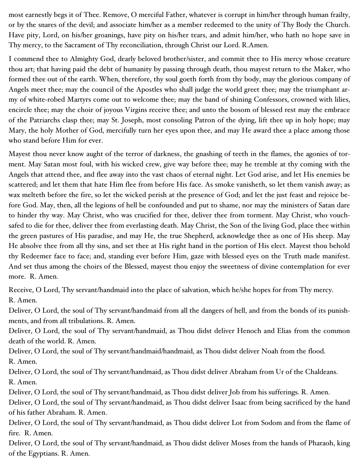most earnestly begs it of Thee. Remove, O merciful Father, whatever is corrupt in him/her through human frailty, or by the snares of the devil; and associate him/her as a member redeemed to the unity of Thy Body the Church. Have pity, Lord, on his/her groanings, have pity on his/her tears, and admit him/her, who hath no hope save in Thy mercy, to the Sacrament of Thy reconciliation, through Christ our Lord. R.Amen.

I commend thee to Almighty God, dearly beloved brother/sister, and commit thee to His mercy whose creature thou art; that having paid the debt of humanity by passing through death, thou mayest return to the Maker, who formed thee out of the earth. When, therefore, thy soul goeth forth from thy body, may the glorious company of Angels meet thee; may the council of the Apostles who shall judge the world greet thee; may the triumphant army of white-robed Martyrs come out to welcome thee; may the band of shining Confessors, crowned with lilies, encircle thee; may the choir of joyous Virgins receive thee; and unto the bosom of blessed rest may the embrace of the Patriarchs clasp thee; may St. Joseph, most consoling Patron of the dying, lift thee up in holy hope; may Mary, the holy Mother of God, mercifully turn her eyes upon thee, and may He award thee a place among those who stand before Him for ever.

Mayest thou never know aught of the terror of darkness, the gnashing of teeth in the flames, the agonies of torment. May Satan most foul, with his wicked crew, give way before thee; may he tremble at thy coming with the Angels that attend thee, and flee away into the vast chaos of eternal night. Let God arise, and let His enemies be scattered; and let them that hate Him flee from before His face. As smoke vanisheth, so let them vanish away; as wax melteth before the fire, so let the wicked perish at the presence of God; and let the just feast and rejoice before God. May, then, all the legions of hell be confounded and put to shame, nor may the ministers of Satan dare to hinder thy way. May Christ, who was crucified for thee, deliver thee from torment. May Christ, who vouchsafed to die for thee, deliver thee from everlasting death. May Christ, the Son of the living God, place thee within the green pastures of His paradise, and may He, the true Shepherd, acknowledge thee as one of His sheep. May He absolve thee from all thy sins, and set thee at His right hand in the portion of His elect. Mayest thou behold thy Redeemer face to face; and, standing ever before Him, gaze with blessed eyes on the Truth made manifest. And set thus among the choirs of the Blessed, mayest thou enjoy the sweetness of divine contemplation for ever more. R. Amen.

Receive, O Lord, Thy servant/handmaid into the place of salvation, which he/she hopes for from Thy mercy. R. Amen.

Deliver, O Lord, the soul of Thy servant/handmaid from all the dangers of hell, and from the bonds of its punishments, and from all tribulations. R. Amen.

Deliver, O Lord, the soul of Thy servant/handmaid, as Thou didst deliver Henoch and Elias from the common death of the world. R. Amen.

Deliver, O Lord, the soul of Thy servant/handmaid/handmaid, as Thou didst deliver Noah from the flood. R. Amen.

Deliver, O Lord, the soul of Thy servant/handmaid, as Thou didst deliver Abraham from Ur of the Chaldeans. R. Amen.

Deliver, O Lord, the soul of Thy servant/handmaid, as Thou didst deliver Job from his sufferings. R. Amen.

Deliver, O Lord, the soul of Thy servant/handmaid, as Thou didst deliver Isaac from being sacrificed by the hand of his father Abraham. R. Amen.

Deliver, O Lord, the soul of Thy servant/handmaid, as Thou didst deliver Lot from Sodom and from the flame of fire. R. Amen.

Deliver, O Lord, the soul of Thy servant/handmaid, as Thou didst deliver Moses from the hands of Pharaoh, king of the Egyptians. R. Amen.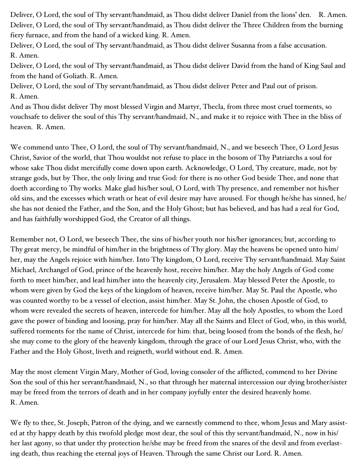Deliver, O Lord, the soul of Thy servant/handmaid, as Thou didst deliver Daniel from the lions' den. R. Amen. Deliver, O Lord, the soul of Thy servant/handmaid, as Thou didst deliver the Three Children from the burning fiery furnace, and from the hand of a wicked king. R. Amen.

Deliver, O Lord, the soul of Thy servant/handmaid, as Thou didst deliver Susanna from a false accusation. R. Amen.

Deliver, O Lord, the soul of Thy servant/handmaid, as Thou didst deliver David from the hand of King Saul and from the hand of Goliath. R. Amen.

Deliver, O Lord, the soul of Thy servant/handmaid, as Thou didst deliver Peter and Paul out of prison. R. Amen.

And as Thou didst deliver Thy most blessed Virgin and Martyr, Thecla, from three most cruel torments, so vouchsafe to deliver the soul of this Thy servant/handmaid, N., and make it to rejoice with Thee in the bliss of heaven. R. Amen.

We commend unto Thee, O Lord, the soul of Thy servant/handmaid, N., and we beseech Thee, O Lord Jesus Christ, Savior of the world, that Thou wouldst not refuse to place in the bosom of Thy Patriarchs a soul for whose sake Thou didst mercifully come down upon earth. Acknowledge, O Lord, Thy creature, made, not by strange gods, but by Thee, the only living and true God: for there is no other God beside Thee, and none that doeth according to Thy works. Make glad his/her soul, O Lord, with Thy presence, and remember not his/her old sins, and the excesses which wrath or heat of evil desire may have aroused. For though he/she has sinned, he/ she has not denied the Father, and the Son, and the Holy Ghost; but has believed, and has had a zeal for God, and has faithfully worshipped God, the Creator of all things.

Remember not, O Lord, we beseech Thee, the sins of his/her youth nor his/her ignorances; but, according to Thy great mercy, be mindful of him/her in the brightness of Thy glory. May the heavens be opened unto him/ her, may the Angels rejoice with him/her. Into Thy kingdom, O Lord, receive Thy servant/handmaid. May Saint Michael, Archangel of God, prince of the heavenly host, receive him/her. May the holy Angels of God come forth to meet him/her, and lead him/her into the heavenly city, Jerusalem. May blessed Peter the Apostle, to whom were given by God the keys of the kingdom of heaven, receive him/her. May St. Paul the Apostle, who was counted worthy to be a vessel of election, assist him/her. May St. John, the chosen Apostle of God, to whom were revealed the secrets of heaven, intercede for him/her. May all the holy Apostles, to whom the Lord gave the power of binding and loosing, pray for him/her. May all the Saints and Elect of God, who, in this world, suffered torments for the name of Christ, intercede for him: that, being loosed from the bonds of the flesh, he/ she may come to the glory of the heavenly kingdom, through the grace of our Lord Jesus Christ, who, with the Father and the Holy Ghost, liveth and reigneth, world without end. R. Amen.

May the most clement Virgin Mary, Mother of God, loving consoler of the afflicted, commend to her Divine Son the soul of this her servant/handmaid, N., so that through her maternal intercession our dying brother/sister may be freed from the terrors of death and in her company joyfully enter the desired heavenly home. R. Amen.

We fly to thee, St. Joseph, Patron of the dying, and we earnestly commend to thee, whom Jesus and Mary assisted at thy happy death by this twofold pledge most dear, the soul of this thy servant/handmaid, N., now in his/ her last agony, so that under thy protection he/she may be freed from the snares of the devil and from everlasting death, thus reaching the eternal joys of Heaven. Through the same Christ our Lord. R. Amen.